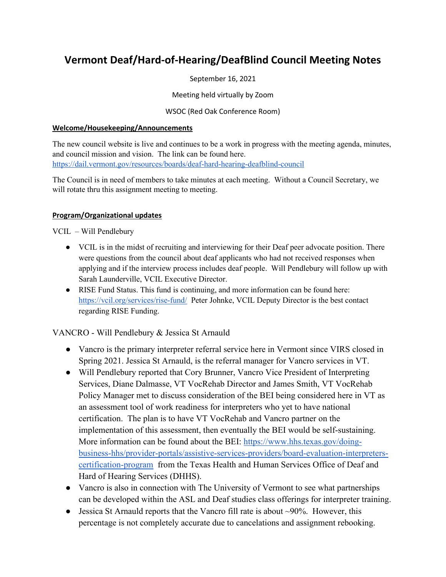# **Vermont Deaf/Hard-of-Hearing/DeafBlind Council Meeting Notes**

September 16, 2021

Meeting held virtually by Zoom

WSOC (Red Oak Conference Room)

### **Welcome/Housekeeping/Announcements**

The new council website is live and continues to be a work in progress with the meeting agenda, minutes, and council mission and vision. The link can be found here. <https://dail.vermont.gov/resources/boards/deaf-hard-hearing-deafblind-council>

The Council is in need of members to take minutes at each meeting. Without a Council Secretary, we will rotate thru this assignment meeting to meeting.

## **Program/Organizational updates**

VCIL – Will Pendlebury

- VCIL is in the midst of recruiting and interviewing for their Deaf peer advocate position. There were questions from the council about deaf applicants who had not received responses when applying and if the interview process includes deaf people. Will Pendlebury will follow up with Sarah Launderville, VCIL Executive Director.
- RISE Fund Status. This fund is continuing, and more information can be found here: <https://vcil.org/services/rise-fund/>Peter Johnke, VCIL Deputy Director is the best contact regarding RISE Funding.

VANCRO - Will Pendlebury & Jessica St Arnauld

- Vancro is the primary interpreter referral service here in Vermont since VIRS closed in Spring 2021. Jessica St Arnauld, is the referral manager for Vancro services in VT.
- Will Pendlebury reported that Cory Brunner, Vancro Vice President of Interpreting Services, Diane Dalmasse, VT VocRehab Director and James Smith, VT VocRehab Policy Manager met to discuss consideration of the BEI being considered here in VT as an assessment tool of work readiness for interpreters who yet to have national certification. The plan is to have VT VocRehab and Vancro partner on the implementation of this assessment, then eventually the BEI would be self-sustaining. More information can be found about the BEI: [https://www.hhs.texas.gov/doing](https://www.hhs.texas.gov/doing-business-hhs/provider-portals/assistive-services-providers/board-evaluation-interpreters-certification-program)[business-hhs/provider-portals/assistive-services-providers/board-evaluation-interpreters](https://www.hhs.texas.gov/doing-business-hhs/provider-portals/assistive-services-providers/board-evaluation-interpreters-certification-program)[certification-program](https://www.hhs.texas.gov/doing-business-hhs/provider-portals/assistive-services-providers/board-evaluation-interpreters-certification-program) from the Texas Health and Human Services Office of Deaf and Hard of Hearing Services (DHHS).
- Vancro is also in connection with The University of Vermont to see what partnerships can be developed within the ASL and Deaf studies class offerings for interpreter training.
- Jessica St Arnauld reports that the Vancro fill rate is about  $\sim$ 90%. However, this percentage is not completely accurate due to cancelations and assignment rebooking.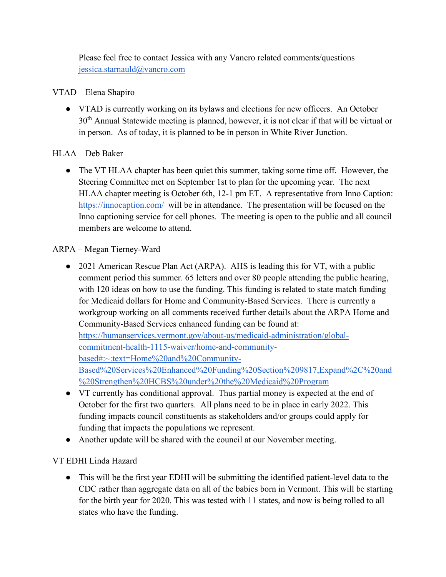Please feel free to contact Jessica with any Vancro related comments/questions [jessica.starnauld@vancro.com](mailto:jessica.starnauld@vancro.com)

## VTAD – Elena Shapiro

● VTAD is currently working on its bylaws and elections for new officers. An October 30<sup>th</sup> Annual Statewide meeting is planned, however, it is not clear if that will be virtual or in person. As of today, it is planned to be in person in White River Junction.

## HLAA – Deb Baker

• The VT HLAA chapter has been quiet this summer, taking some time off. However, the Steering Committee met on September 1st to plan for the upcoming year. The next HLAA chapter meeting is October 6th, 12-1 pm ET. A representative from Inno Caption: <https://innocaption.com/>will be in attendance. The presentation will be focused on the Inno captioning service for cell phones. The meeting is open to the public and all council members are welcome to attend.

## ARPA – Megan Tierney-Ward

- 2021 American Rescue Plan Act (ARPA). AHS is leading this for VT, with a public comment period this summer. 65 letters and over 80 people attending the public hearing, with 120 ideas on how to use the funding. This funding is related to state match funding for Medicaid dollars for Home and Community-Based Services. There is currently a workgroup working on all comments received further details about the ARPA Home and Community-Based Services enhanced funding can be found at: [https://humanservices.vermont.gov/about-us/medicaid-administration/global](https://humanservices.vermont.gov/about-us/medicaid-administration/global-commitment-health-1115-waiver/home-and-community-based#:%7E:text=Home%20and%20Community-Based%20Services%20Enhanced%20Funding%20Section%209817,Expand%2C%20and%20Strengthen%20HCBS%20under%20the%20Medicaid%20Program)[commitment-health-1115-waiver/home-and-community](https://humanservices.vermont.gov/about-us/medicaid-administration/global-commitment-health-1115-waiver/home-and-community-based#:%7E:text=Home%20and%20Community-Based%20Services%20Enhanced%20Funding%20Section%209817,Expand%2C%20and%20Strengthen%20HCBS%20under%20the%20Medicaid%20Program)[based#:~:text=Home%20and%20Community-](https://humanservices.vermont.gov/about-us/medicaid-administration/global-commitment-health-1115-waiver/home-and-community-based#:%7E:text=Home%20and%20Community-Based%20Services%20Enhanced%20Funding%20Section%209817,Expand%2C%20and%20Strengthen%20HCBS%20under%20the%20Medicaid%20Program)[Based%20Services%20Enhanced%20Funding%20Section%209817,Expand%2C%20and](https://humanservices.vermont.gov/about-us/medicaid-administration/global-commitment-health-1115-waiver/home-and-community-based#:%7E:text=Home%20and%20Community-Based%20Services%20Enhanced%20Funding%20Section%209817,Expand%2C%20and%20Strengthen%20HCBS%20under%20the%20Medicaid%20Program) [%20Strengthen%20HCBS%20under%20the%20Medicaid%20Program](https://humanservices.vermont.gov/about-us/medicaid-administration/global-commitment-health-1115-waiver/home-and-community-based#:%7E:text=Home%20and%20Community-Based%20Services%20Enhanced%20Funding%20Section%209817,Expand%2C%20and%20Strengthen%20HCBS%20under%20the%20Medicaid%20Program)
- VT currently has conditional approval. Thus partial money is expected at the end of October for the first two quarters. All plans need to be in place in early 2022. This funding impacts council constituents as stakeholders and/or groups could apply for funding that impacts the populations we represent.
- Another update will be shared with the council at our November meeting.

## VT EDHI Linda Hazard

● This will be the first year EDHI will be submitting the identified patient-level data to the CDC rather than aggregate data on all of the babies born in Vermont. This will be starting for the birth year for 2020. This was tested with 11 states, and now is being rolled to all states who have the funding.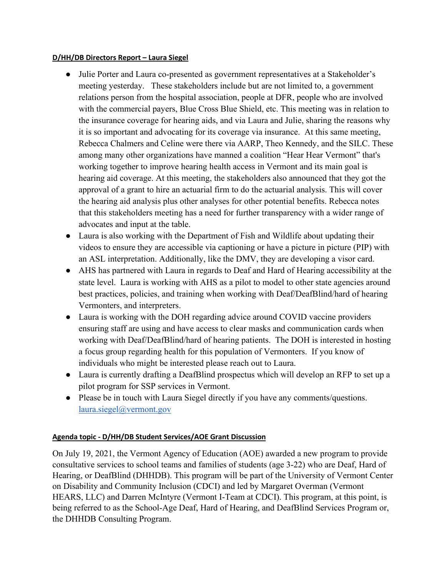#### **D/HH/DB Directors Report – Laura Siegel**

- Julie Porter and Laura co-presented as government representatives at a Stakeholder's meeting yesterday. These stakeholders include but are not limited to, a government relations person from the hospital association, people at DFR, people who are involved with the commercial payers, Blue Cross Blue Shield, etc. This meeting was in relation to the insurance coverage for hearing aids, and via Laura and Julie, sharing the reasons why it is so important and advocating for its coverage via insurance. At this same meeting, Rebecca Chalmers and Celine were there via AARP, Theo Kennedy, and the SILC. These among many other organizations have manned a coalition "Hear Hear Vermont" that's working together to improve hearing health access in Vermont and its main goal is hearing aid coverage. At this meeting, the stakeholders also announced that they got the approval of a grant to hire an actuarial firm to do the actuarial analysis. This will cover the hearing aid analysis plus other analyses for other potential benefits. Rebecca notes that this stakeholders meeting has a need for further transparency with a wider range of advocates and input at the table.
- Laura is also working with the Department of Fish and Wildlife about updating their videos to ensure they are accessible via captioning or have a picture in picture (PIP) with an ASL interpretation. Additionally, like the DMV, they are developing a visor card.
- AHS has partnered with Laura in regards to Deaf and Hard of Hearing accessibility at the state level. Laura is working with AHS as a pilot to model to other state agencies around best practices, policies, and training when working with Deaf/DeafBlind/hard of hearing Vermonters, and interpreters.
- Laura is working with the DOH regarding advice around COVID vaccine providers ensuring staff are using and have access to clear masks and communication cards when working with Deaf/DeafBlind/hard of hearing patients. The DOH is interested in hosting a focus group regarding health for this population of Vermonters. If you know of individuals who might be interested please reach out to Laura.
- Laura is currently drafting a DeafBlind prospectus which will develop an RFP to set up a pilot program for SSP services in Vermont.
- Please be in touch with Laura Siegel directly if you have any comments/questions. [laura.siegel@vermont.gov](mailto:laura.siegel@vermont.gov)

#### **Agenda topic - D/HH/DB Student Services/AOE Grant Discussion**

On July 19, 2021, the Vermont Agency of Education (AOE) awarded a new program to provide consultative services to school teams and families of students (age 3-22) who are Deaf, Hard of Hearing, or DeafBlind (DHHDB). This program will be part of the University of Vermont Center on Disability and Community Inclusion (CDCI) and led by Margaret Overman (Vermont HEARS, LLC) and Darren McIntyre (Vermont I-Team at CDCI). This program, at this point, is being referred to as the School-Age Deaf, Hard of Hearing, and DeafBlind Services Program or, the DHHDB Consulting Program.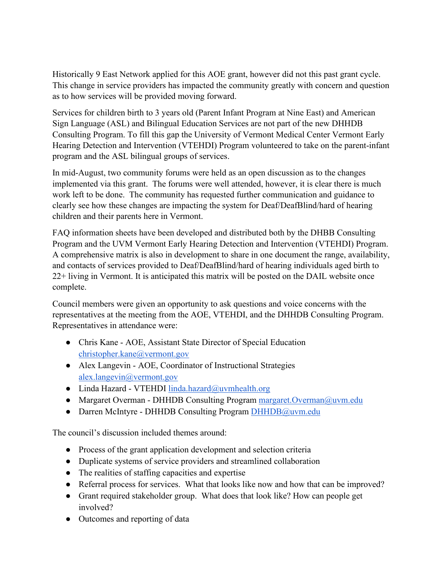Historically 9 East Network applied for this AOE grant, however did not this past grant cycle. This change in service providers has impacted the community greatly with concern and question as to how services will be provided moving forward.

Services for children birth to 3 years old (Parent Infant Program at Nine East) and American Sign Language (ASL) and Bilingual Education Services are not part of the new DHHDB Consulting Program. To fill this gap the University of Vermont Medical Center Vermont Early Hearing Detection and Intervention (VTEHDI) Program volunteered to take on the parent-infant program and the ASL bilingual groups of services.

In mid-August, two community forums were held as an open discussion as to the changes implemented via this grant. The forums were well attended, however, it is clear there is much work left to be done. The community has requested further communication and guidance to clearly see how these changes are impacting the system for Deaf/DeafBlind/hard of hearing children and their parents here in Vermont.

FAQ information sheets have been developed and distributed both by the DHBB Consulting Program and the UVM Vermont Early Hearing Detection and Intervention (VTEHDI) Program. A comprehensive matrix is also in development to share in one document the range, availability, and contacts of services provided to Deaf/DeafBlind/hard of hearing individuals aged birth to 22+ living in Vermont. It is anticipated this matrix will be posted on the DAIL website once complete.

Council members were given an opportunity to ask questions and voice concerns with the representatives at the meeting from the AOE, VTEHDI, and the DHHDB Consulting Program. Representatives in attendance were:

- Chris Kane AOE, Assistant State Director of Special Education [christopher.kane@vermont.gov](mailto:christopher.kane@vermont.gov)
- Alex Langevin AOE, Coordinator of Instructional Strategies [alex.langevin@vermont.gov](mailto:alex.langevin@vermont.gov)
- Linda Hazard VTEHDI [linda.hazard@uvmhealth.org](mailto:linda.hazard@uvmhealth.org)
- Margaret Overman DHHDB Consulting Program [margaret.Overman@uvm.edu](mailto:margaret.Overman@uvm.edu)
- Darren McIntyre DHHDB Consulting Program [DHHDB@uvm.edu](mailto:DHHDB@uvm.edu)

The council's discussion included themes around:

- Process of the grant application development and selection criteria
- Duplicate systems of service providers and streamlined collaboration
- The realities of staffing capacities and expertise
- Referral process for services. What that looks like now and how that can be improved?
- Grant required stakeholder group. What does that look like? How can people get involved?
- Outcomes and reporting of data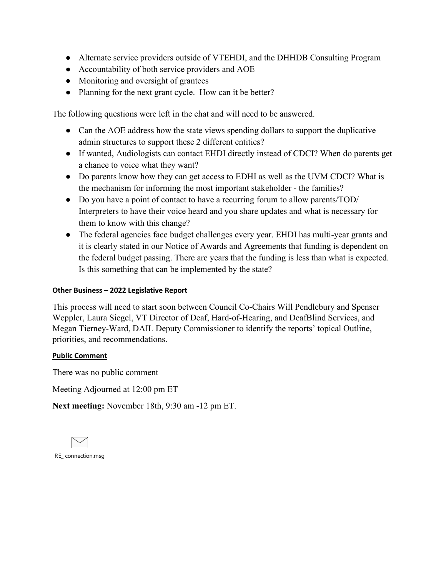- Alternate service providers outside of VTEHDI, and the DHHDB Consulting Program
- Accountability of both service providers and AOE
- Monitoring and oversight of grantees
- Planning for the next grant cycle. How can it be better?

The following questions were left in the chat and will need to be answered.

- Can the AOE address how the state views spending dollars to support the duplicative admin structures to support these 2 different entities?
- If wanted, Audiologists can contact EHDI directly instead of CDCI? When do parents get a chance to voice what they want?
- Do parents know how they can get access to EDHI as well as the UVM CDCI? What is the mechanism for informing the most important stakeholder - the families?
- Do you have a point of contact to have a recurring forum to allow parents/TOD/ Interpreters to have their voice heard and you share updates and what is necessary for them to know with this change?
- The federal agencies face budget challenges every year. EHDI has multi-year grants and it is clearly stated in our Notice of Awards and Agreements that funding is dependent on the federal budget passing. There are years that the funding is less than what is expected. Is this something that can be implemented by the state?

#### **Other Business – 2022 Legislative Report**

This process will need to start soon between Council Co-Chairs Will Pendlebury and Spenser Weppler, Laura Siegel, VT Director of Deaf, Hard-of-Hearing, and DeafBlind Services, and Megan Tierney-Ward, DAIL Deputy Commissioner to identify the reports' topical Outline, priorities, and recommendations.

#### **Public Comment**

There was no public comment

Meeting Adjourned at 12:00 pm ET

**Next meeting:** November 18th, 9:30 am -12 pm ET.